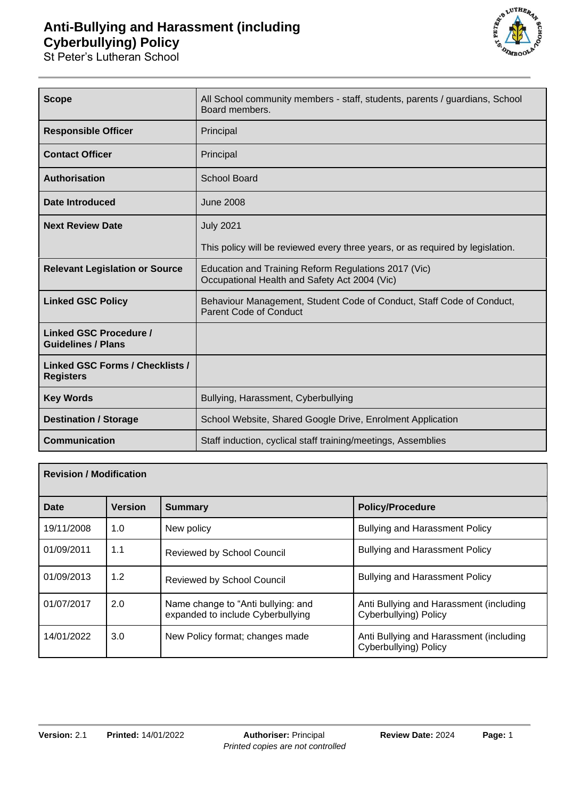## **Anti-Bullying and Harassment (including Cyberbullying) Policy**

St Peter's Lutheran School



| <b>Scope</b>                                               | All School community members - staff, students, parents / guardians, School<br>Board members.          |  |  |
|------------------------------------------------------------|--------------------------------------------------------------------------------------------------------|--|--|
| <b>Responsible Officer</b>                                 | Principal                                                                                              |  |  |
| <b>Contact Officer</b>                                     | Principal                                                                                              |  |  |
| <b>Authorisation</b>                                       | <b>School Board</b>                                                                                    |  |  |
| <b>Date Introduced</b>                                     | <b>June 2008</b>                                                                                       |  |  |
| <b>Next Review Date</b>                                    | <b>July 2021</b>                                                                                       |  |  |
|                                                            | This policy will be reviewed every three years, or as required by legislation.                         |  |  |
| <b>Relevant Legislation or Source</b>                      | Education and Training Reform Regulations 2017 (Vic)<br>Occupational Health and Safety Act 2004 (Vic)  |  |  |
| <b>Linked GSC Policy</b>                                   | Behaviour Management, Student Code of Conduct, Staff Code of Conduct,<br><b>Parent Code of Conduct</b> |  |  |
| <b>Linked GSC Procedure /</b><br><b>Guidelines / Plans</b> |                                                                                                        |  |  |
| <b>Linked GSC Forms / Checklists /</b><br><b>Registers</b> |                                                                                                        |  |  |
| <b>Key Words</b>                                           | Bullying, Harassment, Cyberbullying                                                                    |  |  |
| <b>Destination / Storage</b>                               | School Website, Shared Google Drive, Enrolment Application                                             |  |  |
| <b>Communication</b>                                       | Staff induction, cyclical staff training/meetings, Assemblies                                          |  |  |

| <b>Revision / Modification</b> |                |                                                                         |                                                                  |
|--------------------------------|----------------|-------------------------------------------------------------------------|------------------------------------------------------------------|
| Date                           | <b>Version</b> | Summary                                                                 | <b>Policy/Procedure</b>                                          |
| 19/11/2008                     | 1.0            | New policy                                                              | <b>Bullying and Harassment Policy</b>                            |
| 01/09/2011                     | 1.1            | <b>Reviewed by School Council</b>                                       | <b>Bullying and Harassment Policy</b>                            |
| 01/09/2013                     | 1.2            | <b>Reviewed by School Council</b>                                       | <b>Bullying and Harassment Policy</b>                            |
| 01/07/2017                     | 2.0            | Name change to "Anti bullying: and<br>expanded to include Cyberbullying | Anti Bullying and Harassment (including<br>Cyberbullying) Policy |
| 14/01/2022                     | 3.0            | New Policy format; changes made                                         | Anti Bullying and Harassment (including<br>Cyberbullying) Policy |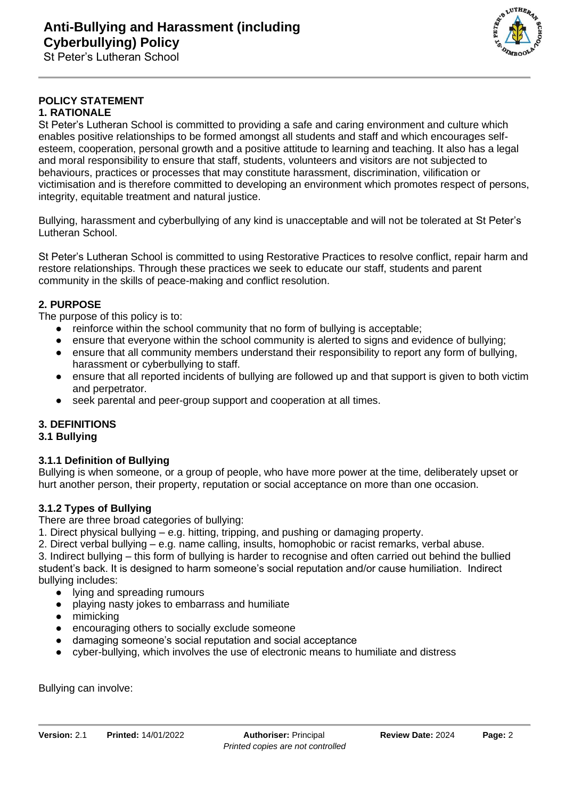

#### **POLICY STATEMENT 1. RATIONALE**

#### St Peter's Lutheran School is committed to providing a safe and caring environment and culture which enables positive relationships to be formed amongst all students and staff and which encourages selfesteem, cooperation, personal growth and a positive attitude to learning and teaching. It also has a legal and moral responsibility to ensure that staff, students, volunteers and visitors are not subjected to behaviours, practices or processes that may constitute harassment, discrimination, vilification or victimisation and is therefore committed to developing an environment which promotes respect of persons, integrity, equitable treatment and natural justice.

Bullying, harassment and cyberbullying of any kind is unacceptable and will not be tolerated at St Peter's Lutheran School.

St Peter's Lutheran School is committed to using Restorative Practices to resolve conflict, repair harm and restore relationships. Through these practices we seek to educate our staff, students and parent community in the skills of peace-making and conflict resolution.

## **2. PURPOSE**

The purpose of this policy is to:

- reinforce within the school community that no form of bullying is acceptable;
- ensure that everyone within the school community is alerted to signs and evidence of bullying;
- ensure that all community members understand their responsibility to report any form of bullying, harassment or cyberbullying to staff.
- ensure that all reported incidents of bullying are followed up and that support is given to both victim and perpetrator.
- seek parental and peer-group support and cooperation at all times.

## **3. DEFINITIONS**

## **3.1 Bullying**

## **3.1.1 Definition of Bullying**

Bullying is when someone, or a group of people, who have more power at the time, deliberately upset or hurt another person, their property, reputation or social acceptance on more than one occasion.

## **3.1.2 Types of Bullying**

There are three broad categories of bullying:

1. Direct physical bullying – e.g. hitting, tripping, and pushing or damaging property.

2. Direct verbal bullying – e.g. name calling, insults, homophobic or racist remarks, verbal abuse.

3. Indirect bullying – this form of bullying is harder to recognise and often carried out behind the bullied student's back. It is designed to harm someone's social reputation and/or cause humiliation. Indirect bullying includes:

- lying and spreading rumours
- playing nasty jokes to embarrass and humiliate
- mimicking
- encouraging others to socially exclude someone
- damaging someone's social reputation and social acceptance
- cyber-bullying, which involves the use of electronic means to humiliate and distress

Bullying can involve: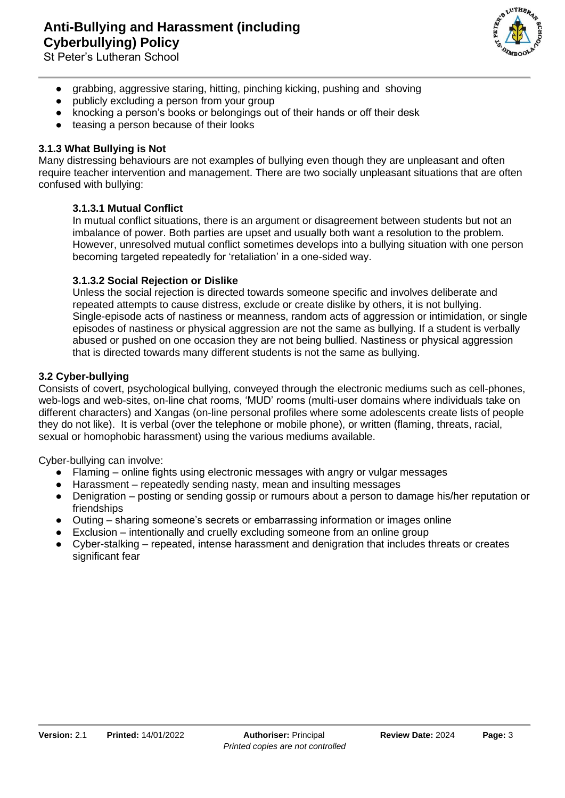LUTHEA

- grabbing, aggressive staring, hitting, pinching kicking, pushing and shoving
- publicly excluding a person from your group
- knocking a person's books or belongings out of their hands or off their desk
- teasing a person because of their looks

#### **3.1.3 What Bullying is Not**

Many distressing behaviours are not examples of bullying even though they are unpleasant and often require teacher intervention and management. There are two socially unpleasant situations that are often confused with bullying:

#### **3.1.3.1 Mutual Conflict**

In mutual conflict situations, there is an argument or disagreement between students but not an imbalance of power. Both parties are upset and usually both want a resolution to the problem. However, unresolved mutual conflict sometimes develops into a bullying situation with one person becoming targeted repeatedly for 'retaliation' in a one-sided way.

#### **3.1.3.2 Social Rejection or Dislike**

Unless the social rejection is directed towards someone specific and involves deliberate and repeated attempts to cause distress, exclude or create dislike by others, it is not bullying. Single-episode acts of nastiness or meanness, random acts of aggression or intimidation, or single episodes of nastiness or physical aggression are not the same as bullying. If a student is verbally abused or pushed on one occasion they are not being bullied. Nastiness or physical aggression that is directed towards many different students is not the same as bullying.

#### **3.2 Cyber-bullying**

Consists of covert, psychological bullying, conveyed through the electronic mediums such as cell-phones, web-logs and web-sites, on-line chat rooms, 'MUD' rooms (multi-user domains where individuals take on different characters) and Xangas (on-line personal profiles where some adolescents create lists of people they do not like). It is verbal (over the telephone or mobile phone), or written (flaming, threats, racial, sexual or homophobic harassment) using the various mediums available.

Cyber-bullying can involve:

- Flaming online fights using electronic messages with angry or vulgar messages
- Harassment repeatedly sending nasty, mean and insulting messages
- Denigration posting or sending gossip or rumours about a person to damage his/her reputation or friendships
- Outing sharing someone's secrets or embarrassing information or images online
- $\bullet$  Exclusion intentionally and cruelly excluding someone from an online group
- Cyber-stalking repeated, intense harassment and denigration that includes threats or creates significant fear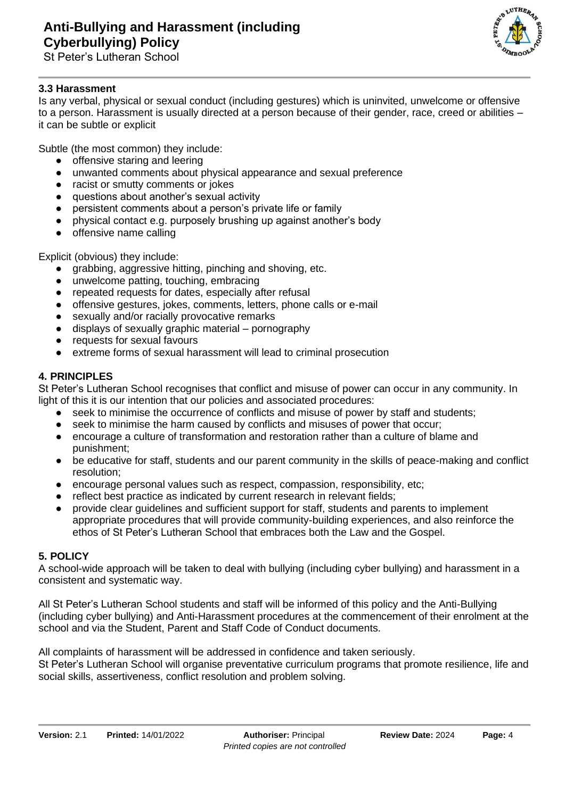

# **3.3 Harassment**

Is any verbal, physical or sexual conduct (including gestures) which is uninvited, unwelcome or offensive to a person. Harassment is usually directed at a person because of their gender, race, creed or abilities – it can be subtle or explicit

Subtle (the most common) they include:

- offensive staring and leering
- unwanted comments about physical appearance and sexual preference
- racist or smutty comments or jokes
- questions about another's sexual activity
- persistent comments about a person's private life or family
- physical contact e.g. purposely brushing up against another's body
- offensive name calling

Explicit (obvious) they include:

- grabbing, aggressive hitting, pinching and shoving, etc.
- unwelcome patting, touching, embracing
- repeated requests for dates, especially after refusal
- offensive gestures, jokes, comments, letters, phone calls or e-mail
- sexually and/or racially provocative remarks
- displays of sexually graphic material pornography
- requests for sexual favours
- extreme forms of sexual harassment will lead to criminal prosecution

## **4. PRINCIPLES**

St Peter's Lutheran School recognises that conflict and misuse of power can occur in any community. In light of this it is our intention that our policies and associated procedures:

- seek to minimise the occurrence of conflicts and misuse of power by staff and students;
- seek to minimise the harm caused by conflicts and misuses of power that occur;
- encourage a culture of transformation and restoration rather than a culture of blame and punishment;
- be educative for staff, students and our parent community in the skills of peace-making and conflict resolution;
- encourage personal values such as respect, compassion, responsibility, etc;
- reflect best practice as indicated by current research in relevant fields;
- provide clear guidelines and sufficient support for staff, students and parents to implement appropriate procedures that will provide community-building experiences, and also reinforce the ethos of St Peter's Lutheran School that embraces both the Law and the Gospel.

## **5. POLICY**

A school-wide approach will be taken to deal with bullying (including cyber bullying) and harassment in a consistent and systematic way.

All St Peter's Lutheran School students and staff will be informed of this policy and the Anti-Bullying (including cyber bullying) and Anti-Harassment procedures at the commencement of their enrolment at the school and via the Student, Parent and Staff Code of Conduct documents.

All complaints of harassment will be addressed in confidence and taken seriously.

St Peter's Lutheran School will organise preventative curriculum programs that promote resilience, life and social skills, assertiveness, conflict resolution and problem solving.